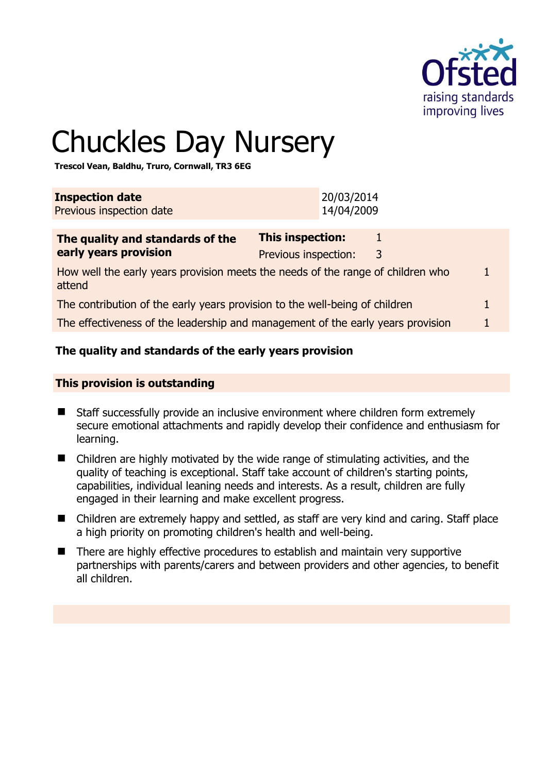

1

# Chuckles Day Nursery

**Trescol Vean, Baldhu, Truro, Cornwall, TR3 6EG** 

| <b>Inspection date</b><br>Previous inspection date                                        | 20/03/2014<br>14/04/2009                                  |  |
|-------------------------------------------------------------------------------------------|-----------------------------------------------------------|--|
| The quality and standards of the<br>early years provision                                 | <b>This inspection:</b><br>1<br>Previous inspection:<br>3 |  |
| How well the early years provision meets the needs of the range of children who<br>attend |                                                           |  |
| The contribution of the early years provision to the well-being of children               |                                                           |  |
| The effectiveness of the leadership and management of the early years provision           |                                                           |  |
|                                                                                           |                                                           |  |

#### **The quality and standards of the early years provision**

#### **This provision is outstanding**

- Staff successfully provide an inclusive environment where children form extremely secure emotional attachments and rapidly develop their confidence and enthusiasm for learning.
- Children are highly motivated by the wide range of stimulating activities, and the quality of teaching is exceptional. Staff take account of children's starting points, capabilities, individual leaning needs and interests. As a result, children are fully engaged in their learning and make excellent progress.
- Children are extremely happy and settled, as staff are very kind and caring. Staff place a high priority on promoting children's health and well-being.
- There are highly effective procedures to establish and maintain very supportive partnerships with parents/carers and between providers and other agencies, to benefit all children.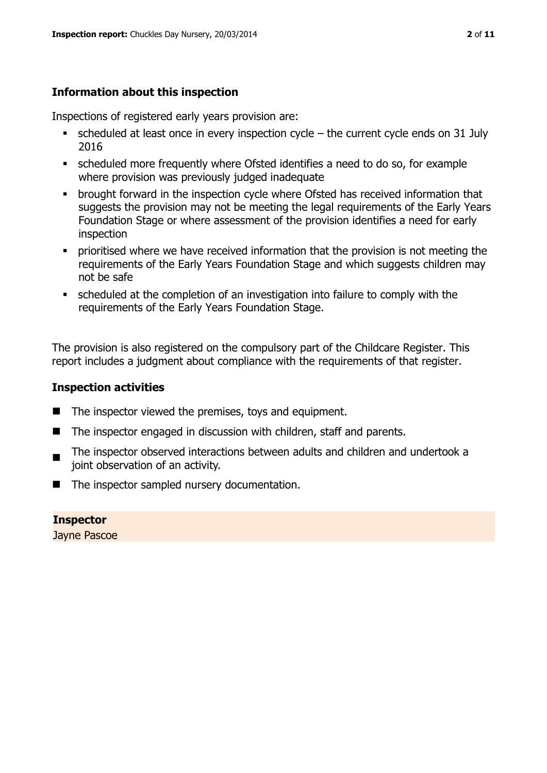#### **Information about this inspection**

Inspections of registered early years provision are:

- $\bullet$  scheduled at least once in every inspection cycle the current cycle ends on 31 July 2016
- scheduled more frequently where Ofsted identifies a need to do so, for example where provision was previously judged inadequate
- **•** brought forward in the inspection cycle where Ofsted has received information that suggests the provision may not be meeting the legal requirements of the Early Years Foundation Stage or where assessment of the provision identifies a need for early inspection
- **•** prioritised where we have received information that the provision is not meeting the requirements of the Early Years Foundation Stage and which suggests children may not be safe
- scheduled at the completion of an investigation into failure to comply with the requirements of the Early Years Foundation Stage.

The provision is also registered on the compulsory part of the Childcare Register. This report includes a judgment about compliance with the requirements of that register.

#### **Inspection activities**

- $\blacksquare$  The inspector viewed the premises, toys and equipment.
- The inspector engaged in discussion with children, staff and parents.
- The inspector observed interactions between adults and children and undertook a joint observation of an activity.
- The inspector sampled nursery documentation.

# **Inspector**

Jayne Pascoe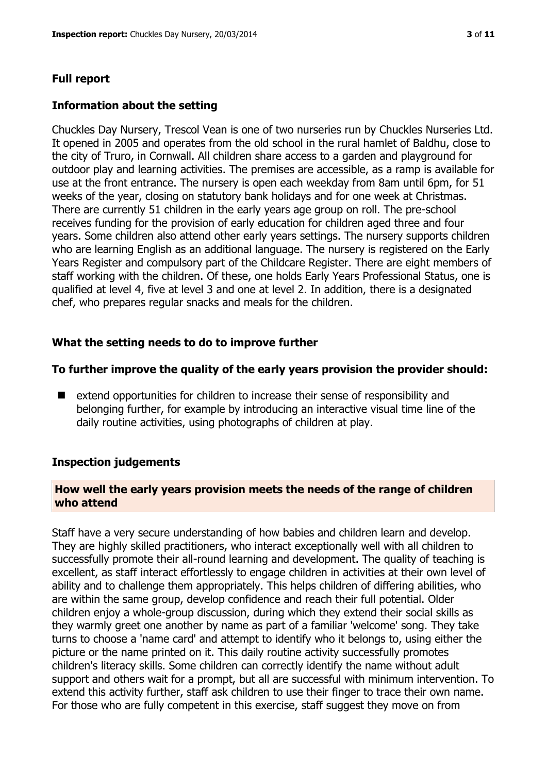### **Full report**

#### **Information about the setting**

Chuckles Day Nursery, Trescol Vean is one of two nurseries run by Chuckles Nurseries Ltd. It opened in 2005 and operates from the old school in the rural hamlet of Baldhu, close to the city of Truro, in Cornwall. All children share access to a garden and playground for outdoor play and learning activities. The premises are accessible, as a ramp is available for use at the front entrance. The nursery is open each weekday from 8am until 6pm, for 51 weeks of the year, closing on statutory bank holidays and for one week at Christmas. There are currently 51 children in the early years age group on roll. The pre-school receives funding for the provision of early education for children aged three and four years. Some children also attend other early years settings. The nursery supports children who are learning English as an additional language. The nursery is registered on the Early Years Register and compulsory part of the Childcare Register. There are eight members of staff working with the children. Of these, one holds Early Years Professional Status, one is qualified at level 4, five at level 3 and one at level 2. In addition, there is a designated chef, who prepares regular snacks and meals for the children.

#### **What the setting needs to do to improve further**

#### **To further improve the quality of the early years provision the provider should:**

■ extend opportunities for children to increase their sense of responsibility and belonging further, for example by introducing an interactive visual time line of the daily routine activities, using photographs of children at play.

#### **Inspection judgements**

#### **How well the early years provision meets the needs of the range of children who attend**

Staff have a very secure understanding of how babies and children learn and develop. They are highly skilled practitioners, who interact exceptionally well with all children to successfully promote their all-round learning and development. The quality of teaching is excellent, as staff interact effortlessly to engage children in activities at their own level of ability and to challenge them appropriately. This helps children of differing abilities, who are within the same group, develop confidence and reach their full potential. Older children enjoy a whole-group discussion, during which they extend their social skills as they warmly greet one another by name as part of a familiar 'welcome' song. They take turns to choose a 'name card' and attempt to identify who it belongs to, using either the picture or the name printed on it. This daily routine activity successfully promotes children's literacy skills. Some children can correctly identify the name without adult support and others wait for a prompt, but all are successful with minimum intervention. To extend this activity further, staff ask children to use their finger to trace their own name. For those who are fully competent in this exercise, staff suggest they move on from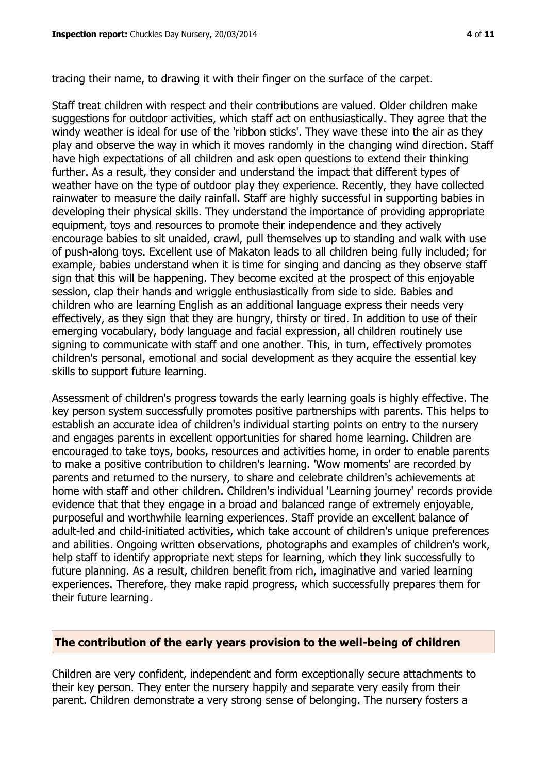tracing their name, to drawing it with their finger on the surface of the carpet.

Staff treat children with respect and their contributions are valued. Older children make suggestions for outdoor activities, which staff act on enthusiastically. They agree that the windy weather is ideal for use of the 'ribbon sticks'. They wave these into the air as they play and observe the way in which it moves randomly in the changing wind direction. Staff have high expectations of all children and ask open questions to extend their thinking further. As a result, they consider and understand the impact that different types of weather have on the type of outdoor play they experience. Recently, they have collected rainwater to measure the daily rainfall. Staff are highly successful in supporting babies in developing their physical skills. They understand the importance of providing appropriate equipment, toys and resources to promote their independence and they actively encourage babies to sit unaided, crawl, pull themselves up to standing and walk with use of push-along toys. Excellent use of Makaton leads to all children being fully included; for example, babies understand when it is time for singing and dancing as they observe staff sign that this will be happening. They become excited at the prospect of this enjoyable session, clap their hands and wriggle enthusiastically from side to side. Babies and children who are learning English as an additional language express their needs very effectively, as they sign that they are hungry, thirsty or tired. In addition to use of their emerging vocabulary, body language and facial expression, all children routinely use signing to communicate with staff and one another. This, in turn, effectively promotes children's personal, emotional and social development as they acquire the essential key skills to support future learning.

Assessment of children's progress towards the early learning goals is highly effective. The key person system successfully promotes positive partnerships with parents. This helps to establish an accurate idea of children's individual starting points on entry to the nursery and engages parents in excellent opportunities for shared home learning. Children are encouraged to take toys, books, resources and activities home, in order to enable parents to make a positive contribution to children's learning. 'Wow moments' are recorded by parents and returned to the nursery, to share and celebrate children's achievements at home with staff and other children. Children's individual 'Learning journey' records provide evidence that that they engage in a broad and balanced range of extremely enjoyable, purposeful and worthwhile learning experiences. Staff provide an excellent balance of adult-led and child-initiated activities, which take account of children's unique preferences and abilities. Ongoing written observations, photographs and examples of children's work, help staff to identify appropriate next steps for learning, which they link successfully to future planning. As a result, children benefit from rich, imaginative and varied learning experiences. Therefore, they make rapid progress, which successfully prepares them for their future learning.

#### **The contribution of the early years provision to the well-being of children**

Children are very confident, independent and form exceptionally secure attachments to their key person. They enter the nursery happily and separate very easily from their parent. Children demonstrate a very strong sense of belonging. The nursery fosters a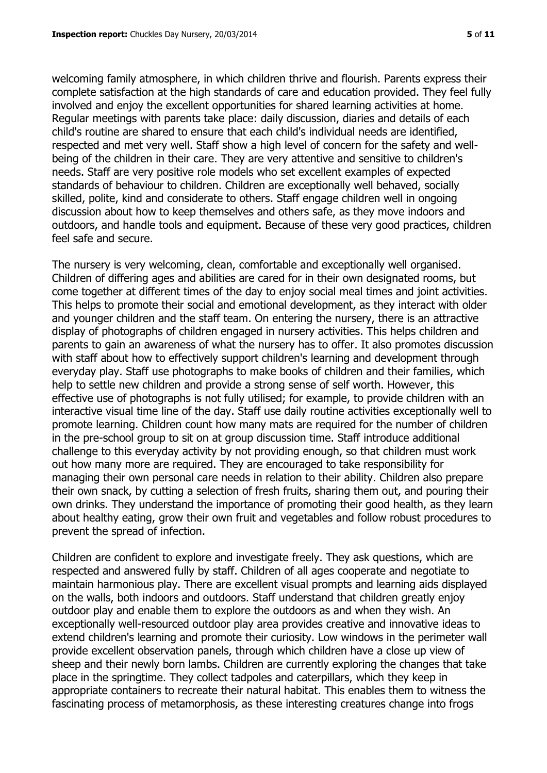welcoming family atmosphere, in which children thrive and flourish. Parents express their complete satisfaction at the high standards of care and education provided. They feel fully involved and enjoy the excellent opportunities for shared learning activities at home. Regular meetings with parents take place: daily discussion, diaries and details of each child's routine are shared to ensure that each child's individual needs are identified, respected and met very well. Staff show a high level of concern for the safety and wellbeing of the children in their care. They are very attentive and sensitive to children's needs. Staff are very positive role models who set excellent examples of expected standards of behaviour to children. Children are exceptionally well behaved, socially skilled, polite, kind and considerate to others. Staff engage children well in ongoing discussion about how to keep themselves and others safe, as they move indoors and outdoors, and handle tools and equipment. Because of these very good practices, children feel safe and secure.

The nursery is very welcoming, clean, comfortable and exceptionally well organised. Children of differing ages and abilities are cared for in their own designated rooms, but come together at different times of the day to enjoy social meal times and joint activities. This helps to promote their social and emotional development, as they interact with older and younger children and the staff team. On entering the nursery, there is an attractive display of photographs of children engaged in nursery activities. This helps children and parents to gain an awareness of what the nursery has to offer. It also promotes discussion with staff about how to effectively support children's learning and development through everyday play. Staff use photographs to make books of children and their families, which help to settle new children and provide a strong sense of self worth. However, this effective use of photographs is not fully utilised; for example, to provide children with an interactive visual time line of the day. Staff use daily routine activities exceptionally well to promote learning. Children count how many mats are required for the number of children in the pre-school group to sit on at group discussion time. Staff introduce additional challenge to this everyday activity by not providing enough, so that children must work out how many more are required. They are encouraged to take responsibility for managing their own personal care needs in relation to their ability. Children also prepare their own snack, by cutting a selection of fresh fruits, sharing them out, and pouring their own drinks. They understand the importance of promoting their good health, as they learn about healthy eating, grow their own fruit and vegetables and follow robust procedures to prevent the spread of infection.

Children are confident to explore and investigate freely. They ask questions, which are respected and answered fully by staff. Children of all ages cooperate and negotiate to maintain harmonious play. There are excellent visual prompts and learning aids displayed on the walls, both indoors and outdoors. Staff understand that children greatly enjoy outdoor play and enable them to explore the outdoors as and when they wish. An exceptionally well-resourced outdoor play area provides creative and innovative ideas to extend children's learning and promote their curiosity. Low windows in the perimeter wall provide excellent observation panels, through which children have a close up view of sheep and their newly born lambs. Children are currently exploring the changes that take place in the springtime. They collect tadpoles and caterpillars, which they keep in appropriate containers to recreate their natural habitat. This enables them to witness the fascinating process of metamorphosis, as these interesting creatures change into frogs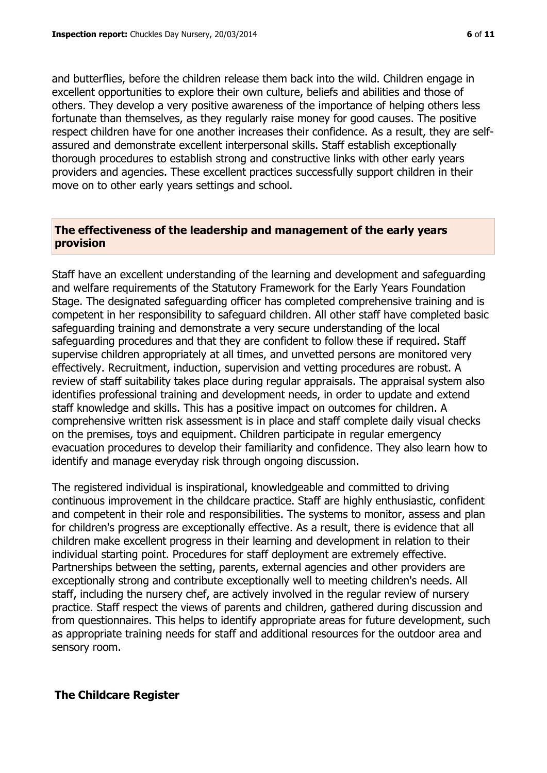and butterflies, before the children release them back into the wild. Children engage in excellent opportunities to explore their own culture, beliefs and abilities and those of others. They develop a very positive awareness of the importance of helping others less fortunate than themselves, as they regularly raise money for good causes. The positive respect children have for one another increases their confidence. As a result, they are selfassured and demonstrate excellent interpersonal skills. Staff establish exceptionally thorough procedures to establish strong and constructive links with other early years providers and agencies. These excellent practices successfully support children in their move on to other early years settings and school.

#### **The effectiveness of the leadership and management of the early years provision**

Staff have an excellent understanding of the learning and development and safeguarding and welfare requirements of the Statutory Framework for the Early Years Foundation Stage. The designated safeguarding officer has completed comprehensive training and is competent in her responsibility to safeguard children. All other staff have completed basic safeguarding training and demonstrate a very secure understanding of the local safeguarding procedures and that they are confident to follow these if required. Staff supervise children appropriately at all times, and unvetted persons are monitored very effectively. Recruitment, induction, supervision and vetting procedures are robust. A review of staff suitability takes place during regular appraisals. The appraisal system also identifies professional training and development needs, in order to update and extend staff knowledge and skills. This has a positive impact on outcomes for children. A comprehensive written risk assessment is in place and staff complete daily visual checks on the premises, toys and equipment. Children participate in regular emergency evacuation procedures to develop their familiarity and confidence. They also learn how to identify and manage everyday risk through ongoing discussion.

The registered individual is inspirational, knowledgeable and committed to driving continuous improvement in the childcare practice. Staff are highly enthusiastic, confident and competent in their role and responsibilities. The systems to monitor, assess and plan for children's progress are exceptionally effective. As a result, there is evidence that all children make excellent progress in their learning and development in relation to their individual starting point. Procedures for staff deployment are extremely effective. Partnerships between the setting, parents, external agencies and other providers are exceptionally strong and contribute exceptionally well to meeting children's needs. All staff, including the nursery chef, are actively involved in the regular review of nursery practice. Staff respect the views of parents and children, gathered during discussion and from questionnaires. This helps to identify appropriate areas for future development, such as appropriate training needs for staff and additional resources for the outdoor area and sensory room.

#### **The Childcare Register**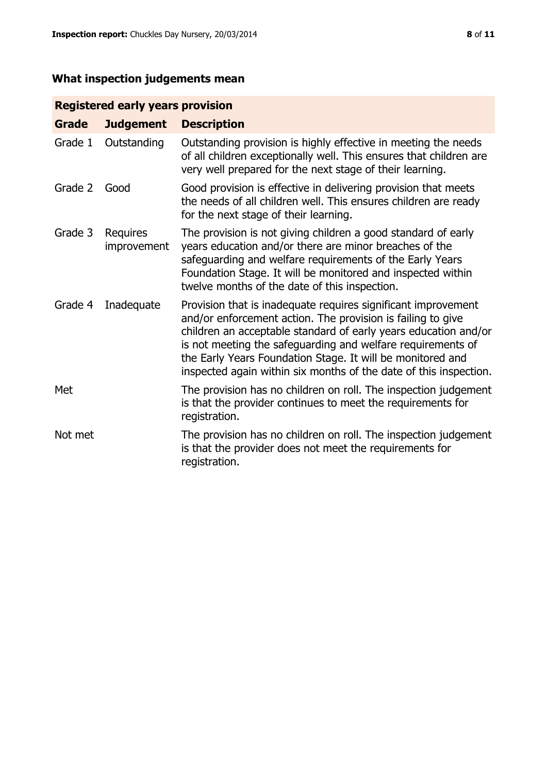# **What inspection judgements mean**

# **Registered early years provision**

| <b>Grade</b> | <b>Judgement</b>        | <b>Description</b>                                                                                                                                                                                                                                                                                                                                                                                |
|--------------|-------------------------|---------------------------------------------------------------------------------------------------------------------------------------------------------------------------------------------------------------------------------------------------------------------------------------------------------------------------------------------------------------------------------------------------|
| Grade 1      | Outstanding             | Outstanding provision is highly effective in meeting the needs<br>of all children exceptionally well. This ensures that children are<br>very well prepared for the next stage of their learning.                                                                                                                                                                                                  |
| Grade 2      | Good                    | Good provision is effective in delivering provision that meets<br>the needs of all children well. This ensures children are ready<br>for the next stage of their learning.                                                                                                                                                                                                                        |
| Grade 3      | Requires<br>improvement | The provision is not giving children a good standard of early<br>years education and/or there are minor breaches of the<br>safeguarding and welfare requirements of the Early Years<br>Foundation Stage. It will be monitored and inspected within<br>twelve months of the date of this inspection.                                                                                               |
| Grade 4      | Inadequate              | Provision that is inadequate requires significant improvement<br>and/or enforcement action. The provision is failing to give<br>children an acceptable standard of early years education and/or<br>is not meeting the safeguarding and welfare requirements of<br>the Early Years Foundation Stage. It will be monitored and<br>inspected again within six months of the date of this inspection. |
| Met          |                         | The provision has no children on roll. The inspection judgement<br>is that the provider continues to meet the requirements for<br>registration.                                                                                                                                                                                                                                                   |
| Not met      |                         | The provision has no children on roll. The inspection judgement<br>is that the provider does not meet the requirements for<br>registration.                                                                                                                                                                                                                                                       |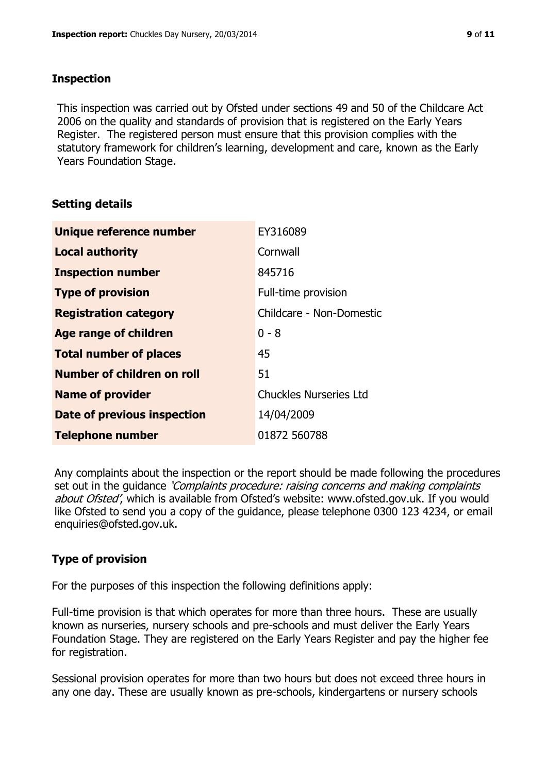#### **Inspection**

This inspection was carried out by Ofsted under sections 49 and 50 of the Childcare Act 2006 on the quality and standards of provision that is registered on the Early Years Register. The registered person must ensure that this provision complies with the statutory framework for children's learning, development and care, known as the Early Years Foundation Stage.

#### **Setting details**

| Unique reference number            | EY316089                      |
|------------------------------------|-------------------------------|
| <b>Local authority</b>             | Cornwall                      |
| <b>Inspection number</b>           | 845716                        |
| <b>Type of provision</b>           | Full-time provision           |
| <b>Registration category</b>       | Childcare - Non-Domestic      |
| <b>Age range of children</b>       | $0 - 8$                       |
| <b>Total number of places</b>      | 45                            |
| Number of children on roll         | 51                            |
| <b>Name of provider</b>            | <b>Chuckles Nurseries Ltd</b> |
| <b>Date of previous inspection</b> | 14/04/2009                    |
| <b>Telephone number</b>            | 01872 560788                  |

Any complaints about the inspection or the report should be made following the procedures set out in the guidance *'Complaints procedure: raising concerns and making complaints* about Ofsted', which is available from Ofsted's website: www.ofsted.gov.uk. If you would like Ofsted to send you a copy of the guidance, please telephone 0300 123 4234, or email enquiries@ofsted.gov.uk.

## **Type of provision**

For the purposes of this inspection the following definitions apply:

Full-time provision is that which operates for more than three hours. These are usually known as nurseries, nursery schools and pre-schools and must deliver the Early Years Foundation Stage. They are registered on the Early Years Register and pay the higher fee for registration.

Sessional provision operates for more than two hours but does not exceed three hours in any one day. These are usually known as pre-schools, kindergartens or nursery schools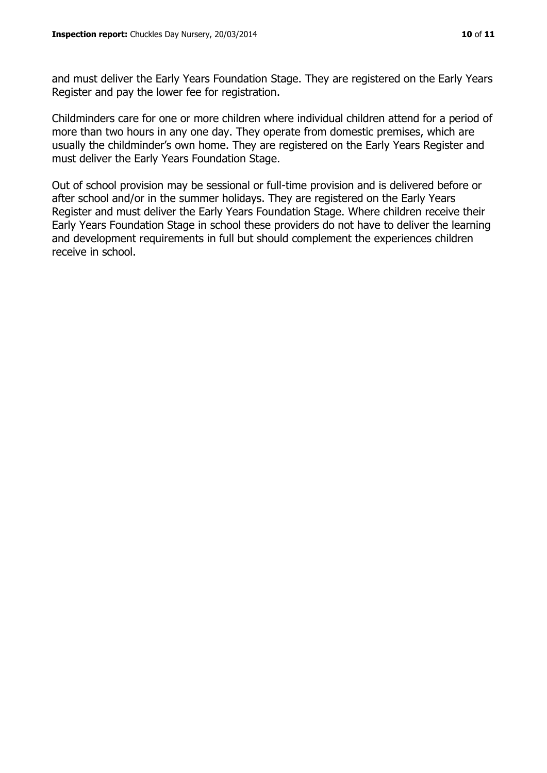and must deliver the Early Years Foundation Stage. They are registered on the Early Years Register and pay the lower fee for registration.

Childminders care for one or more children where individual children attend for a period of more than two hours in any one day. They operate from domestic premises, which are usually the childminder's own home. They are registered on the Early Years Register and must deliver the Early Years Foundation Stage.

Out of school provision may be sessional or full-time provision and is delivered before or after school and/or in the summer holidays. They are registered on the Early Years Register and must deliver the Early Years Foundation Stage. Where children receive their Early Years Foundation Stage in school these providers do not have to deliver the learning and development requirements in full but should complement the experiences children receive in school.